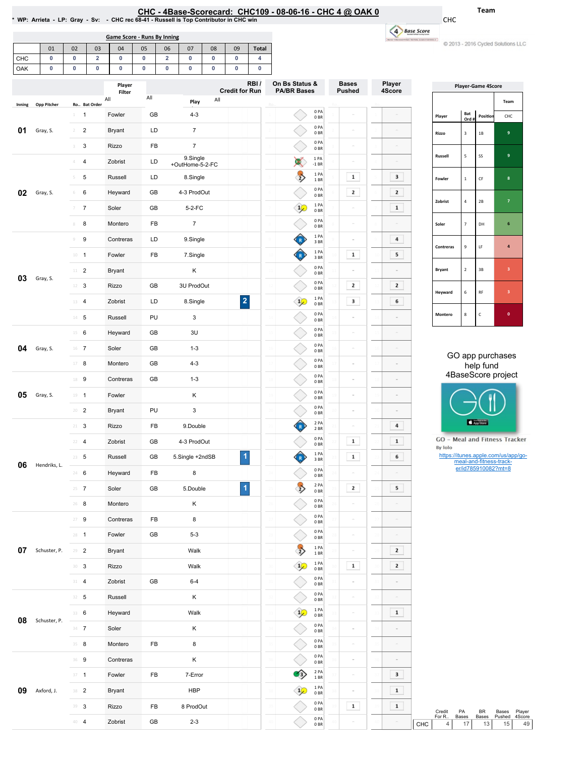### EHC-4Base-Scorecard: CHC109 - 08-06-16 - CHC4 @ OAK 0<br>\* WP: Arrieta - LP: Gray - Sv: - CHC rec 68-41 - Russell is Top Contributor in CHC win

Bases Pushed

 $\sim$ 

 $\sim$  $\alpha$  Ro..

Player 4Score

 $\alpha$  $\omega$ 

 $\alpha$ 

4 Base Score

CHC

u)

|  | C 2013 - 2016 Cycled Solutions LLC |  |
|--|------------------------------------|--|

Team

|        |             |                                 |                       | <b>Game Score - Runs By Inning</b> |              |                |                             |              |                       |              |                                                                                                                                                                         |                                      |                                    |
|--------|-------------|---------------------------------|-----------------------|------------------------------------|--------------|----------------|-----------------------------|--------------|-----------------------|--------------|-------------------------------------------------------------------------------------------------------------------------------------------------------------------------|--------------------------------------|------------------------------------|
|        | 01          | 02                              | 03                    | 04                                 | 05           | 06             | 07                          | 08           | 09                    | <b>Total</b> |                                                                                                                                                                         |                                      |                                    |
| CHC    | 0           | 0                               | $\overline{2}$        | 0                                  | $\mathbf{0}$ | $\overline{2}$ | 0                           | $\mathbf{0}$ | 0                     | 4            |                                                                                                                                                                         |                                      |                                    |
| OAK    | 0           | 0                               | 0                     | 0                                  | 0            | 0              | 0                           | 0            | 0                     | 0            |                                                                                                                                                                         |                                      |                                    |
|        |             |                                 |                       | Player<br>Filter                   | All          |                |                             |              | <b>Credit for Run</b> | RBI/         |                                                                                                                                                                         | On Bs Status &<br><b>PA/BR Bases</b> |                                    |
| Inning | Opp Pitcher |                                 | All<br>Ro., Bat Order |                                    |              |                | Play                        | All          |                       |              | Ro.                                                                                                                                                                     |                                      |                                    |
|        |             | 1<br>1                          |                       | Fowler                             | <b>GB</b>    |                | $4 - 3$                     |              |                       |              |                                                                                                                                                                         |                                      | 0 <sub>PA</sub><br>0 <sub>BR</sub> |
| 01     | Gray, S.    | $\overline{2}$<br>$\mathcal{I}$ |                       | Bryant                             | LD           |                | $\overline{7}$              |              |                       |              |                                                                                                                                                                         |                                      | 0 <sub>PA</sub><br>0 <sub>BR</sub> |
|        |             | 3<br>$\overline{\overline{3}}$  |                       | Rizzo                              | <b>FB</b>    |                | $\overline{7}$              |              |                       |              | з                                                                                                                                                                       |                                      | 0 <sub>PA</sub><br>0 <sub>BR</sub> |
|        |             | $\overline{4}$<br>4             |                       | Zobrist                            | LD           |                | 9.Single<br>+OutHome-5-2-FC |              |                       |              | $\mathcal{L}_{\mathcal{A}}^{\mathcal{A}}(\mathcal{A}) = \mathcal{L}_{\mathcal{A}}^{\mathcal{A}}(\mathcal{A}) \cap \mathcal{L}_{\mathcal{A}}^{\mathcal{A}}(\mathcal{A})$ |                                      | 1 PA<br>$-1$ BR                    |
|        |             | 5<br>5                          |                       | Russell                            | LD           |                | 8.Single                    |              |                       |              |                                                                                                                                                                         | $\overline{z}$                       | 1PA<br>1BR                         |
| 02     | Gray, S.    | 6<br>6                          |                       | Heyward                            | GB           |                | 4-3 ProdOut                 |              |                       |              | 6                                                                                                                                                                       |                                      | 0PA<br>0 <sub>BR</sub>             |
|        |             | $\overline{7}$<br>7             |                       | Soler                              | <b>GB</b>    |                | $5-2-FC$                    |              |                       |              |                                                                                                                                                                         | 1 <sub>0</sub>                       | 1 PA<br>0 <sub>BR</sub>            |
|        |             |                                 |                       |                                    |              |                |                             |              |                       |              |                                                                                                                                                                         |                                      | $0P\Delta$                         |

|               | <b>Player-Game 4Score</b> |           |                |  |  |  |  |  |  |  |  |  |
|---------------|---------------------------|-----------|----------------|--|--|--|--|--|--|--|--|--|
|               |                           |           | Team           |  |  |  |  |  |  |  |  |  |
| Player        | Bat<br>Ord#               | Position  | CHC            |  |  |  |  |  |  |  |  |  |
| Rizzo         | 3                         | 1B        | 9              |  |  |  |  |  |  |  |  |  |
| Russell       | 5                         | SS        | 9              |  |  |  |  |  |  |  |  |  |
| Fowler        | $\mathbf{1}$              | CF        | 8              |  |  |  |  |  |  |  |  |  |
| Zobrist       | $\overline{4}$            | 2B        | $\overline{z}$ |  |  |  |  |  |  |  |  |  |
| Soler         | 7                         | DH        | 6              |  |  |  |  |  |  |  |  |  |
| Contreras     | 9                         | LF        | 4              |  |  |  |  |  |  |  |  |  |
| <b>Bryant</b> | $\overline{2}$            | 3B        | 3              |  |  |  |  |  |  |  |  |  |
| Heyward       | 6                         | <b>RF</b> | 3              |  |  |  |  |  |  |  |  |  |
| Montero       | 8                         | C         | $\mathbf{0}$   |  |  |  |  |  |  |  |  |  |

|    |                 | 5               | 5               | Russell       | LD | 8.Single        |                      | $\rightarrow$ | 1PA<br>1 B R           | $\mathbf 1$    | 3            |     | Fowler    | $\,$ 1         | $\mathsf{CF}$           | $\bf{8}$                            |
|----|-----------------|-----------------|-----------------|---------------|----|-----------------|----------------------|---------------|------------------------|----------------|--------------|-----|-----------|----------------|-------------------------|-------------------------------------|
| 02 | Gray, S.        | $\,$ 6 $\,$     | 6               | Heyward       | GB | 4-3 ProdOut     |                      |               | 0PA<br>0BR             | $\mathbf{2}$   | $\mathbf{2}$ |     |           | $\overline{4}$ |                         |                                     |
|    |                 | $\overline{7}$  | $\overline{7}$  | Soler         | GB | 5-2-FC          |                      | $\mathcal{P}$ | 1PA<br>0 <sub>BR</sub> |                | $\mathbf 1$  |     | Zobrist   |                | $2B$                    | $\overline{\textbf{z}}$             |
|    |                 | 8               | 8               | Montero       | FB | $\overline{7}$  |                      |               | 0PA<br>0B              |                |              |     | Soler     | $\overline{7}$ | DH                      | $\boldsymbol{6}$                    |
|    |                 | 9               | 9               | Contreras     | LD | 9.Single        |                      | $\mathbb{R}$  | 1PA<br>3BR             | $\bar{a}$      | 4            |     | Contreras | $\,9$          | LF                      | $\pmb{4}$                           |
|    |                 | $10 - 1$        |                 | Fowler        | FB | 7.Single        |                      | $\mathbb{R}$  | 1PA<br>3 BR            | $\mathbf 1$    | 5            |     |           |                |                         |                                     |
| 03 | Gray, S.        | $11-2$          |                 | Bryant        |    | Κ               |                      |               | 0PA<br>0B              |                | $\alpha$     |     | Bryant    | $\overline{2}$ | $3\mathsf{B}$           | $\mathbf 3$                         |
|    |                 | $12$ – $3$      |                 | Rizzo         | GB | 3U ProdOut      |                      |               | 0PA<br>0BR             | $\overline{2}$ | $\mathbf{2}$ |     | Heyward   | $\,$ 6 $\,$    | $\mathsf{RF}$           | $\mathbf{3}$                        |
|    |                 | 13 4            |                 | Zobrist       | LD | 8.Single        | $\vert$ 2            | $\frac{1}{2}$ | 1PA<br>0BR             | $\mathbf{3}$   | 6            |     |           |                |                         |                                     |
|    |                 | $14 - 5$        |                 | Russell       | PU | 3               |                      |               | 0PA<br>0BR             |                |              |     | Montero   | $\bf8$         | $\mathsf{C}$            | $\mathbf{0}^-$                      |
|    |                 | $15 \t 6$       |                 | Heyward       | GB | 3U              |                      |               | 0PA<br>0BR             |                |              |     |           |                |                         |                                     |
|    | 04 Gray, S.     | $16$ 7          |                 | Soler         | GB | $1 - 3$         |                      |               | 0PA<br>0B              | $\sim$         | $\sim$       |     |           |                |                         | GO app purchases                    |
|    |                 | $17 - 8$        |                 | Montero       | GB | $4 - 3$         |                      |               | 0PA<br>0B              | $\sim$         | $\sim$       |     |           |                | help fund               |                                     |
|    |                 |                 | 18 9            | Contreras     | GB | $1 - 3$         |                      |               | 0PA<br>0B              | $\sim$         | $\alpha$     |     |           |                |                         | 4BaseScore project                  |
|    | $05$ Gray, S.   | $19 - 1$        |                 | Fowler        |    | Κ               |                      |               | 0PA<br>0B              | $\sim$         | $\alpha$     |     |           |                |                         |                                     |
|    |                 | $20 - 2$        |                 | <b>Bryant</b> | PU | 3               |                      |               | 0PA<br>0BR             | $\equiv$       | $\alpha$     |     |           |                |                         |                                     |
|    |                 | $21 - 3$        |                 | Rizzo         | FB | 9.Double        |                      | R             | 2 PA<br>2 BR           |                | 4            |     |           |                | App Store               |                                     |
|    |                 |                 | $22 - 4$        | Zobrist       | GB | 4-3 ProdOut     |                      |               | 0PA<br>0BR             | $\mathbf 1$    | $\mathbf 1$  |     | By Iolo   |                |                         | GO - Meal and Fitness Tracker       |
| 06 | Hendriks, L.    | $23 - 5$        |                 | Russell       | GB | 5.Single +2ndSB | $\blacktriangleleft$ | $\mathbf R$   | 1 PA<br>3BR            | $\mathbf 1$    | 6            |     |           |                | meal-and-fitness-track- | https://itunes.apple.com/us/app/go- |
|    |                 | 24 6            |                 | Heyward       | FB | 8               |                      |               | 0PA<br>0B              |                | $\equiv$     |     |           |                | er/id785910082?mt=8     |                                     |
|    |                 | $25 \t 7$       |                 | Soler         | GB | 5.Double        | $\blacktriangleleft$ | $\frac{1}{2}$ | 2 PA<br>0B             | $\mathbf{2}$   | 5            |     |           |                |                         |                                     |
|    |                 | $26 - 8$        |                 | Montero       |    | Κ               |                      |               | 0PA<br>0BR             |                |              |     |           |                |                         |                                     |
|    |                 | $27 - 9$        |                 | Contreras     | FB | 8               |                      |               | 0PA<br>0BR             |                |              |     |           |                |                         |                                     |
|    |                 | $28 - 1$        |                 | Fowler        | GB | $5 - 3$         |                      |               | 0 PA<br>0BR            |                | $\alpha$     |     |           |                |                         |                                     |
| 07 | Schuster, P.    | 29              | $\overline{2}$  | <b>Bryant</b> |    | Walk            |                      | $\frac{1}{2}$ | 1PA<br>1 BR            | ä              | $\mathbf{2}$ |     |           |                |                         |                                     |
|    |                 |                 | 30 <sup>3</sup> | Rizzo         |    | Walk            |                      | $\mathcal{P}$ | 1PA<br>0BR             | $\mathbf 1$    | $\mathbf{2}$ |     |           |                |                         |                                     |
|    |                 |                 | 31 4            | Zobrist       | GB | $6 - 4$         |                      |               | 0PA<br>0BR             |                | $\sim$       |     |           |                |                         |                                     |
|    |                 |                 | $\sqrt{5}$      | Russell       |    | Κ               |                      |               | 0PA<br>0B              |                |              |     |           |                |                         |                                     |
|    | 08 Schuster, P. |                 | 33 6            | Heyward       |    | Walk            |                      | $\frac{1}{2}$ | 1 PA<br>0B             |                | $\mathbf{1}$ |     |           |                |                         |                                     |
|    |                 | $34 \t7$        |                 | Soler         |    | Κ               |                      |               | 0PA<br>0B              |                |              |     |           |                |                         |                                     |
|    |                 | $35 - 8$        |                 | Montero       | FB | 8               |                      |               | 0PA<br>0B              |                | $\equiv$     |     |           |                |                         |                                     |
|    |                 | 36 9            |                 | Contreras     |    | Κ               |                      |               | 0PA<br>0B              |                |              |     |           |                |                         |                                     |
|    |                 | $37 - 1$        |                 | Fowler        | FB | 7-Error         |                      | 的             | 2 PA<br>1 B R          | $\sim$         | 3            |     |           |                |                         |                                     |
| 09 | Axford, J.      | 38 <sup>2</sup> |                 | Bryant        |    | HBP             |                      | $\frac{1}{2}$ | 1PA<br>0B              |                | $\mathbf 1$  |     |           |                |                         |                                     |
|    |                 | $39$ 3          |                 | Rizzo         | FB | 8 ProdOut       |                      |               | 0PA<br>0B              | $\mathbf 1$    | $\mathbf 1$  |     | Credit    | PA             | BR                      | Bases<br>Player                     |
|    |                 |                 | $40-4$          | Zobrist       | GB | $2 - 3$         |                      |               | 0PA                    |                |              | CHC | For R     | Bases          | Bases                   | Pushed<br>4Score<br>15<br>49        |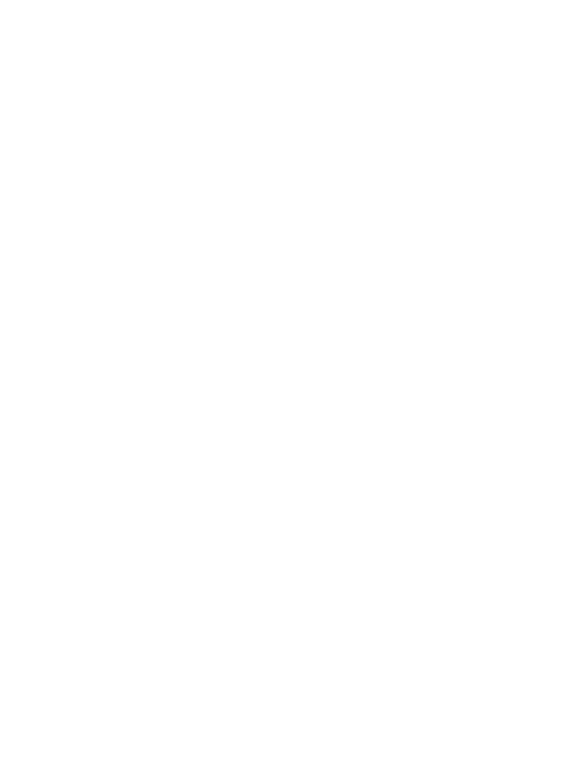|       |  | &+& | %DVH6FRUHFDLG<br>$8 + 8$ | ά٦<br>۰∼ |  |
|-------|--|-----|--------------------------|----------|--|
| _ _ _ |  |     | $\frac{1}{2}$            |          |  |

 $\begin{array}{c} i \ w \\ i \ z \end{array}$ 

 $\begin{array}{c} i \ w \\ i \ z \end{array}$ 

 $\begin{array}{c} i & W \\ i & Z \end{array}$ 

 $i \vee i$ <br> $i \vee z$ 

 $\begin{array}{c} i \ w \\ i \ z \end{array}$ 

 $\begin{array}{c} i \ w \\ i \ z \end{array}$ 

 $\underset{i}{\text{i}}$  W

 $\begin{array}{c} \hat{\mathsf{I}} \;\; \mathsf{W} \\ \hat{\mathsf{I}} \quad \mathsf{Z} \end{array}$ 

 $\begin{array}{c} i \ w \\ i \ z \end{array}$ 

 $\begin{array}{c} i \ W \\ i \ Z \end{array}$ 

 $\begin{array}{c} i \ w \\ i \ z \end{array}$ 

 $\begin{array}{c} \hat{\mathbf{i}} \ \mathbf{W} \\ \hat{\mathbf{i}} \ \ \mathbf{Z} \end{array}$ 

 $\begin{array}{c} i & W \\ i & Z \end{array}$ 

 $\begin{array}{c} i \ W \\ i \ Z \end{array}$ 

 $\begin{array}{c} i & W \\ i & Z \end{array}$ 

 $\begin{array}{c} i \ w \\ i \ z \end{array}$ 

 $\begin{array}{c} \bar{i} \ \bar{W} \\ \bar{i} \ \bar{Z} \end{array}$ 

 $\begin{array}{c} i \ w \\ i \ z \end{array}$ 

 $\begin{array}{c} i & W \\ i & Z \end{array}$ 

 $\begin{array}{cc} i & W \\ i & Z \end{array}$ 

 $\begin{array}{c} i \ w \\ i \ z \end{array}$ 

 $\begin{array}{c} i & W \\ i & Z \end{array}$ 

 $\begin{array}{c} i \ w \\ i \ z \end{array}$ 

 $\begin{array}{c} \hat{\mathsf{I}} \ \mathsf{W} \\ \hat{\mathsf{I}} \quad \mathsf{Z} \end{array}$ 

 $\begin{array}{c} i \ w \\ i \ z \end{array}$ 

 $\begin{array}{c} i \ w \\ i \ z \end{array}$ 

 $\begin{array}{c} i & W \\ i & Z \end{array}$ 

 $300$  HU 6FRUH d u

|                    | : 3 \$UUHMD / 3 * UD |                    | 6Y          | $8+8$ UF                                 |             |       | 5 XVVHOLV 7 RS & ROMMEXWRULQ & + & Z LQ |                      |                |                    |                              |                  |
|--------------------|----------------------|--------------------|-------------|------------------------------------------|-------------|-------|-----------------------------------------|----------------------|----------------|--------------------|------------------------------|------------------|
|                    |                      |                    |             |                                          |             |       |                                         |                      |                |                    |                              |                  |
|                    |                      |                    |             | ' u ^ } OEr Zuv• C/vv]vP                 |             |       |                                         |                      |                |                    |                              |                  |
|                    | ìí                   | ìî                 | ìï          | ìð                                       | ìñ          | ìò    | ìó                                      | ìô                   | ìõ             | d}šo               |                              |                  |
| $8 + 8$<br>2\$.    |                      |                    |             |                                          |             |       |                                         |                      |                |                    |                              |                  |
|                    |                      |                    |             |                                          |             |       |                                         |                      |                |                    |                              |                  |
|                    |                      |                    |             | Wo C OE<br>&loš Œ                        |             |       |                                         |                      | & UHGLWIRU5 XQ | 5%                 | 2 Q%V 6 VDWV<br>3\$ %5 %DVHV | %DVHV<br>3 XVKHG |
| /vv <sub>lvP</sub> | K%%J% Z Œ            |                    | Z} XX ŠKŒ C | Φ                                        | $\circledR$ |       | Wb Ç                                    | $\pmb{\circledcirc}$ |                |                    | Z} ※                         |                  |
|                    |                      |                    |             | ) RZ ONU                                 |             | * %   |                                         |                      |                |                    | i W<br>ì Z                   |                  |
|                    | ' CEQUAX             |                    |             | %UDQW                                    | $\prime$ '  |       |                                         |                      |                | $\hat{\mathbf{I}}$ | i W<br>ì Z                   |                  |
|                    |                      | ï.                 |             | $5$ <sup><math>\uparrow</math></sup> $R$ |             | ) %   |                                         |                      |                | T                  | i W<br>ì Z                   |                  |
|                    |                      | ð                  |             | $=$ REUMV                                | $\prime$ '  |       | $61QJ$ $\Theta$<br>2 XA/RPH             | $\frac{1}{6}$        |                | $\ddot{o}$         | í W<br>rí Z                  |                  |
|                    |                      | ñ                  |             | 5 XVVHO                                  | $\prime$    |       | $61QJ$ $OH$                             |                      |                | ñ                  | i W<br>$i$ $z$               |                  |
|                    | ' CEQUAX             | ò                  |             | $+HZDIG$                                 |             | $*$ % |                                         | 3 URG2 XW            |                | $\ddot{\text{o}}$  | i W<br>ì Z                   |                  |
|                    |                      | ó                  |             | 6 ROHU                                   |             | * %   | 8 <sup>0</sup>                          |                      |                | ó                  | í W<br>ì Z                   |                  |
|                    |                      | $\hat{\mathbb{O}}$ |             | 0 ROMUR                                  |             | ) %   |                                         |                      |                | $\hat{O}$          | i W<br>ì Z                   |                  |
|                    |                      | õ                  |             | & ROWHUDV                                | $\prime$ .  |       | $61QJ$ $OH$                             |                      |                | ő                  | í W<br>ïZ                    |                  |
|                    |                      | íì.                |             | ) RZ ONU                                 |             | ) %   | $61QJ$ $O$                              |                      |                | $\Box$             | í W<br>ïZ                    |                  |
|                    |                      | íí                 |             | %UDQW                                    |             |       |                                         |                      |                | $\Box$             | i W<br>ì Z                   |                  |
|                    | ' CEQUAX             | íî                 |             | $5$ <sup><math>\uparrow</math></sup> $R$ |             | * %   | 8 3 URG2 XW                             |                      |                | $\overline{11}$    | i W<br>ì Z                   |                  |
|                    |                      | íï                 |             | $=$ REUMV                                | $\prime$    |       | $61QJ$ $OH$                             |                      |                | $\Box$             | í W<br>ì Z                   |                  |

íð

' **CEÇU**N

**OEQUYX** 

, v Œ.UX

^Zµ∙šOBWX îõ

^ Zµ∙š OBWX

 $\overline{AB}$  CEUX

ĩð

 $\delta$ 

îŏ

5 XVMO

 $+HZDIB$ 

6 ROHU

0 RQMUR

& ROWHUDV

) RZ  $\Theta$ U

**VIOLEY** 

 $5 \,\sharp\,$  R

 $=$ REUMV

5 XVVHO

 $+HZDIG$ 

6 ROHU

 $0$  RQMUR

& ROWHUDV

) RZ ONU

**YAJIDQW** 

 $5 \,\sharp\,$  R

 $=$ REUMV

5 XVMO

 $+HZDIG$ 

6 ROHU

0 RQMUR

& ROWHUDV

) RZ $\Theta$ IU

**YAJIDQW** 

 $5$ 4]R

 $=$ REUMV

38

 $^*$  %

 $^\star$  %

 $^\star$  %

 $^{\star}$  %

 $3\,8$ 

 $) %$ 

 $^\star$  %

 $^*$  %

)  $\%$ 

 $* 9/6$ 

 $) %$ 

 $^\star$  %

 $* 9/6$ 

 $) %$ 

)  $\%$ 

 $) %$ 

 $* 9/6$ 

 $\bf 8$ 

 $\bar{z}$ 

' RXE®

 $61QJ$  $@H$   $QG6\%$ 

' RXE®

 $\hat{\mathcal{A}}$ 

 $:$  DON

 $:$  DON

 $\hat{\mathcal{L}}$ 

 $:$  DON

 $\mathcal{L}$ 

 $\bar{\mathcal{L}}$ 

 $($  WRU

3 URG2 XW

 $+$ %3

3 URG2 XW

| WoÇOE u ð^}OE     |   |                                           |     |  |  |  |  |  |  |  |
|-------------------|---|-------------------------------------------|-----|--|--|--|--|--|--|--|
|                   |   |                                           | d u |  |  |  |  |  |  |  |
| Wo Ç Œ            |   | $\overline{KCE}$ . $W \cdot \overline{Y}$ | ,   |  |  |  |  |  |  |  |
| zjì ì }           | ï | í                                         | õ   |  |  |  |  |  |  |  |
| Zµ o              | ñ | w                                         | õ   |  |  |  |  |  |  |  |
| &} Áo Œ           | í | &                                         | ô   |  |  |  |  |  |  |  |
| ∙}OEš             | ð | î                                         | ó   |  |  |  |  |  |  |  |
| $^{\wedge}$ } o Œ | ó | $\cdot$                                   | ò   |  |  |  |  |  |  |  |
| } všŒŒ•           | õ | -&                                        | ð   |  |  |  |  |  |  |  |
| OĘ vš             | î | ï                                         |     |  |  |  |  |  |  |  |
| , ÇÁ Œ            | ò | Z&                                        |     |  |  |  |  |  |  |  |
| D} vš OE          | ô |                                           | ì   |  |  |  |  |  |  |  |

#### \* 2 DSS SXUFKDVHV KHOS IXOG **YDVH6 FRUH SURWIFW**

KWON WACH VOSSOH FRP XVDSSJR<br>PHOCOCG ILMOHV WIDEN<br>HULG "PW

&UHGLW 3\$ %5 %DVHV 300\HU<br>RU5 %DVHV %DVHV 3XVKHG 6FRUH(

 $8 + 8$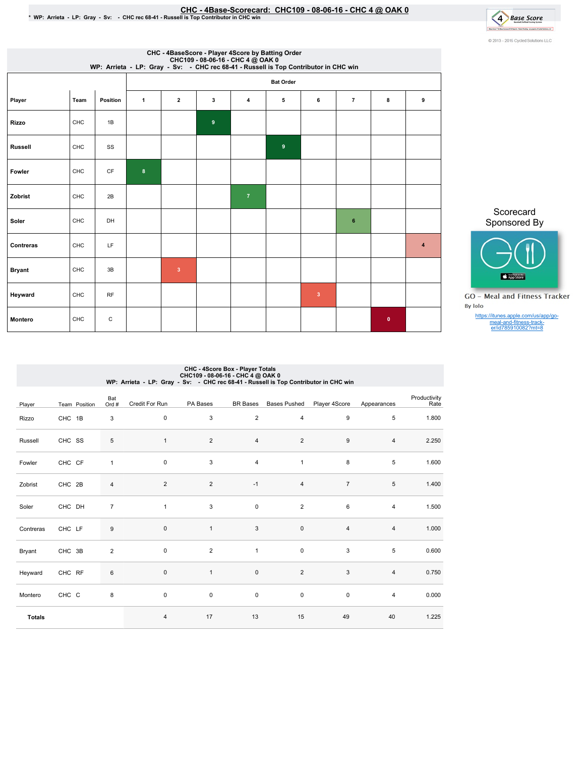### CHC-4Base-Scorecard:CHC109-08-06-16-CHC4@ OAK0 \*WP:Arrieta-LP:Gray-Sv: -CHCrec68-41-RussellisTopContributorinCHCwin



|                | CHC - 4BaseScore - Player 4Score by Batting Order<br>CHC109 - 08-06-16 - CHC 4 @ OAK 0<br>WP: Arrieta - LP: Gray - Sv: - CHC rec 68-41 - Russell is Top Contributor in CHC win |              |              |              |                  |                |                  |                         |                |           |                     |  |  |
|----------------|--------------------------------------------------------------------------------------------------------------------------------------------------------------------------------|--------------|--------------|--------------|------------------|----------------|------------------|-------------------------|----------------|-----------|---------------------|--|--|
|                |                                                                                                                                                                                |              |              |              |                  |                | <b>Bat Order</b> |                         |                |           |                     |  |  |
| Player         | Team                                                                                                                                                                           | Position     | $\mathbf{1}$ | $\mathbf{2}$ | 3                | 4              | 5                | 6                       | $\overline{7}$ | 8         | 9                   |  |  |
| <b>Rizzo</b>   | CHC                                                                                                                                                                            | 1B           |              |              | $\boldsymbol{9}$ |                |                  |                         |                |           |                     |  |  |
| <b>Russell</b> | CHC                                                                                                                                                                            | SS           |              |              |                  |                | $\boldsymbol{9}$ |                         |                |           |                     |  |  |
| Fowler         | CHC                                                                                                                                                                            | CF           | 8            |              |                  |                |                  |                         |                |           |                     |  |  |
| Zobrist        | CHC                                                                                                                                                                            | 2B           |              |              |                  | $\overline{7}$ |                  |                         |                |           |                     |  |  |
| Soler          | CHC                                                                                                                                                                            | DH           |              |              |                  |                |                  |                         | $\bf 6$        |           |                     |  |  |
| Contreras      | CHC                                                                                                                                                                            | LF           |              |              |                  |                |                  |                         |                |           | $\overline{\bf{4}}$ |  |  |
| <b>Bryant</b>  | CHC                                                                                                                                                                            | 3B           |              | $\mathbf{3}$ |                  |                |                  |                         |                |           |                     |  |  |
| Heyward        | CHC                                                                                                                                                                            | <b>RF</b>    |              |              |                  |                |                  | $\overline{\mathbf{3}}$ |                |           |                     |  |  |
| Montero        | CHC                                                                                                                                                                            | $\mathtt{C}$ |              |              |                  |                |                  |                         |                | $\bullet$ |                     |  |  |

### Scorecard Sponsored By



**GO** - Meal and Fitness Tracker By Iolo

https://itunes.apple.com/us/app/go-meal-and-fitness-track-er/id785910082?mt=8

# CHC - 4Score Box - Player Totals<br>CHC 109 - 08-06-16 - 08-06-16<br>WP: Arrieta - LP: Gray - Sv: - CHC rec 68-41 - Russell is Top Contributor in CHC win

| Player        | Team Position | Bat<br>Ord #   | Credit For Run | PA Bases       | <b>BR</b> Bases | <b>Bases Pushed</b> | Player 4Score  | Appearances    | Productivity<br>Rate |
|---------------|---------------|----------------|----------------|----------------|-----------------|---------------------|----------------|----------------|----------------------|
| Rizzo         | CHC 1B        | 3              | $\mathsf 0$    | 3              | 2               | $\overline{4}$      | 9              | 5              | 1.800                |
| Russell       | CHC SS        | 5              | $\mathbf{1}$   | $\overline{2}$ | $\sqrt{4}$      | 2                   | 9              | $\overline{4}$ | 2.250                |
| Fowler        | CHC CF        | $\overline{1}$ | $\mathbf 0$    | 3              | $\overline{4}$  | $\mathbf{1}$        | 8              | 5              | 1.600                |
| Zobrist       | CHC 2B        | $\overline{4}$ | $\overline{2}$ | 2              | $-1$            | $\overline{4}$      | $\overline{7}$ | $\overline{5}$ | 1.400                |
| Soler         | CHC DH        | $\overline{7}$ | $\mathbf{1}$   | 3              | $\mathsf 0$     | $\mathbf 2$         | 6              | $\overline{4}$ | 1.500                |
| Contreras     | CHC LF        | $9\,$          | $\mathbf 0$    | $\mathbf{1}$   | 3               | $\mathsf 0$         | $\sqrt{4}$     | $\overline{4}$ | 1.000                |
| Bryant        | CHC 3B        | $\overline{c}$ | $\mathbf 0$    | 2              | $\mathbf{1}$    | $\mathsf 0$         | 3              | 5              | 0.600                |
| Heyward       | CHC RF        | $\,6$          | $\mathbf 0$    | $\mathbf{1}$   | $\pmb{0}$       | $\overline{2}$      | $\mathbf{3}$   | $\overline{4}$ | 0.750                |
| Montero       | CHC C         | 8              | 0              | $\mathbf 0$    | 0               | $\pmb{0}$           | $\pmb{0}$      | $\overline{4}$ | 0.000                |
| <b>Totals</b> |               |                | 4              | 17             | 13              | 15                  | 49             | 40             | 1.225                |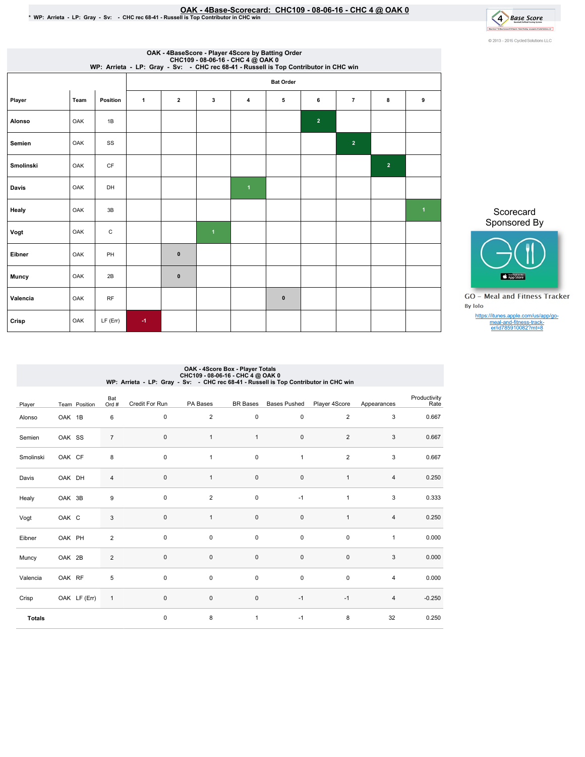## ©AK - 4Base-Scorecard: CHC109 - 08-06-16 - CHC 4 @ OAK 0<br>\* WP: Arrieta - LP: Gray - Sv: - CHC rec 68-41 - Russell is Top Contributor in CHC win



|           | OAK - 4BaseScore - Player 4Score by Batting Order<br>CHC109 - 08-06-16 - CHC 4 @ OAK 0<br>WP: Arrieta - LP: Gray - Sv: - CHC rec 68-41 - Russell is Top Contributor in CHC win |          |              |                         |                |                         |                  |                |                |                |   |  |  |
|-----------|--------------------------------------------------------------------------------------------------------------------------------------------------------------------------------|----------|--------------|-------------------------|----------------|-------------------------|------------------|----------------|----------------|----------------|---|--|--|
|           |                                                                                                                                                                                |          |              |                         |                |                         | <b>Bat Order</b> |                |                |                |   |  |  |
| Player    | Team                                                                                                                                                                           | Position | $\mathbf{1}$ | $\overline{\mathbf{2}}$ | 3              | 4                       | 5                | 6              | $\overline{7}$ | 8              | 9 |  |  |
| Alonso    | OAK                                                                                                                                                                            | 1B       |              |                         |                |                         |                  | $\overline{2}$ |                |                |   |  |  |
| Semien    | OAK                                                                                                                                                                            | SS       |              |                         |                |                         |                  |                | $\overline{2}$ |                |   |  |  |
| Smolinski | OAK                                                                                                                                                                            | CF       |              |                         |                |                         |                  |                |                | $\overline{2}$ |   |  |  |
| Davis     | OAK                                                                                                                                                                            | DH       |              |                         |                | $\overline{\mathbf{1}}$ |                  |                |                |                |   |  |  |
| Healy     | OAK                                                                                                                                                                            | 3B       |              |                         |                |                         |                  |                |                |                | 1 |  |  |
| Vogt      | OAK                                                                                                                                                                            | С        |              |                         | $\overline{1}$ |                         |                  |                |                |                |   |  |  |
| Eibner    | OAK                                                                                                                                                                            | PH       |              | $\pmb{0}$               |                |                         |                  |                |                |                |   |  |  |
| Muncy     | OAK                                                                                                                                                                            | 2B       |              | $\pmb{0}$               |                |                         |                  |                |                |                |   |  |  |
| Valencia  | OAK                                                                                                                                                                            | RF       |              |                         |                |                         | $\pmb{0}$        |                |                |                |   |  |  |
| Crisp     | OAK                                                                                                                                                                            | LF (Err) | $-1$         |                         |                |                         |                  |                |                |                |   |  |  |

Scorecard Sponsored By



**GO** - Meal and Fitness Tracker By Iolo

https://itunes.apple.com/us/app/go-meal-and-fitness-track-er/id785910082?mt=8

# OAK - 4Score Box - Player Totals<br>CHC 4 @ OHC109 - 08-06-16 - CHC 4 @ OAK 0<br>WP: Arrieta - LP: Gray - Sv: - CHC rec 68-41 - Russell is Top Contributor in CHC win

| Player        | Team Position | Bat<br>Ord #   | Credit For Run      | PA Bases       | BR Bases     | <b>Bases Pushed</b> | Player 4Score  | Appearances               | Productivity<br>Rate |
|---------------|---------------|----------------|---------------------|----------------|--------------|---------------------|----------------|---------------------------|----------------------|
| Alonso        | OAK 1B        | 6              | $\mathbf 0$         | $\overline{2}$ | 0            | 0                   | $\overline{2}$ | 3                         | 0.667                |
| Semien        | OAK SS        | $\overline{7}$ | 0                   | $\mathbf{1}$   | $\mathbf{1}$ | $\pmb{0}$           | $\overline{2}$ | 3                         | 0.667                |
| Smolinski     | OAK CF        | 8              | $\mathbf 0$         | $\mathbf{1}$   | $\pmb{0}$    | $\mathbf{1}$        | $\overline{2}$ | 3                         | 0.667                |
| Davis         | OAK DH        | $\overline{4}$ | $\mathsf 0$         | $\mathbf{1}$   | $\pmb{0}$    | $\pmb{0}$           | $\mathbf{1}$   | $\overline{4}$            | 0.250                |
| Healy         | OAK 3B        | 9              | $\mathbf 0$         | 2              | $\pmb{0}$    | $-1$                | $\mathbf{1}$   | 3                         | 0.333                |
| Vogt          | OAK C         | $\sqrt{3}$     | $\mathsf 0$         | $\mathbf{1}$   | $\mathsf 0$  | $\pmb{0}$           | $\mathbf{1}$   | $\overline{4}$            | 0.250                |
| Eibner        | OAK PH        | $\sqrt{2}$     | $\mathbf 0$         | $\pmb{0}$      | $\pmb{0}$    | $\pmb{0}$           | $\pmb{0}$      | $\mathbf{1}$              | 0.000                |
| Muncy         | OAK 2B        | $\sqrt{2}$     | $\mathbf 0$         | $\pmb{0}$      | $\pmb{0}$    | $\pmb{0}$           | $\pmb{0}$      | $\ensuremath{\mathsf{3}}$ | 0.000                |
| Valencia      | OAK RF        | 5              | $\mathbf 0$         | $\pmb{0}$      | 0            | 0                   | $\mathsf 0$    | $\overline{4}$            | 0.000                |
| Crisp         | OAK LF (Err)  | $\overline{1}$ | $\mathsf{O}\xspace$ | $\pmb{0}$      | $\mathsf 0$  | $-1$                | $-1$           | $\overline{4}$            | $-0.250$             |
| <b>Totals</b> |               |                | $\mathbf 0$         | 8              | $\mathbf{1}$ | $-1$                | 8              | 32                        | 0.250                |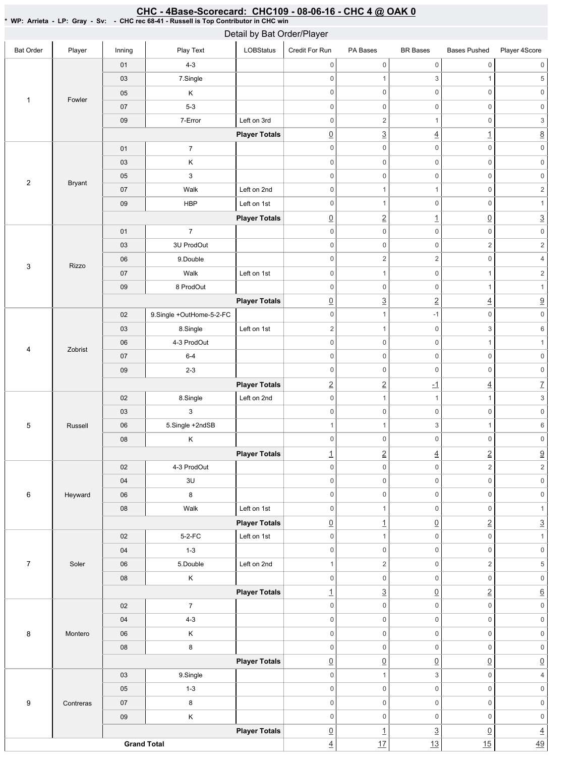#### Bat Order | Player | Inning | PlayText | LOBStatus Credit For Run PA Bases BR Bases Bases Pushed Player 4Score 1 | Fowler 01 4-3 03 7.Single 05 K 07 5-3 09 | 7-Error | Left on 3rd **Player Totals** 2 Bryant 01 7 03 K 05 3 07 | Walk Left on 2nd 09 | HBP | Left on 1st **Player Totals** 3 Rizzo 01 7 03 3U ProdOut 06 9.Double 07 | Walk Left on 1st 09 | 8 ProdOut **Player Totals** 4 Zobrist 02 9.Single +OutHome-5-2-FC 03 | 8.Single | Left on 1st 06 | 4-3 ProdOut 07 6-4 09 2-3 **Player Totals** 5 Russell 02 8.Single Left on 2nd 03 3 06 | 5.Single +2ndSB 08 K **Player Totals** 6 Heyward 02 4-3 ProdOut 04 3U 06 8 08 | Walk Left on 1st **Player Totals** 7 Soler 02 5-2-FC Left on 1st 04 1-3 06 | 5.Double | Left on 2nd 08 | K **Player Totals** 8 Montero 02 7 04 4-3 06 K 08 8 **Player Totals** 9 Contreras 03 | 9.Single 05 1-3 07 8 09 K **Player Totals Grand Total** 0 0 0 0 0 0 0 1 3 1 5 0 0 0 0 0 0 0 0 0 0 0 0 0 2 1 0 3 0 3 4 1 8 0 0 0 0 0 0 0 0 0 0 0 0 0 0 0 0 0 0 0 1 1 0 2 0 0 1 0 1 0 2 1 0 3 0 0 0 0 0 0  $0 \qquad \qquad 0 \qquad \qquad 2 \qquad \qquad 2$  $0 \qquad \qquad 2 \qquad \qquad 2 \qquad \qquad 0 \qquad \qquad 4$ 0 1 0 1 2  $0 \qquad 0 \qquad 0 \qquad 1 \qquad 1$  $\boxed{0}$   $\boxed{3}$   $\boxed{2}$   $\boxed{4}$   $\boxed{9}$ 0 1 -1 0 0 2 1 0 3 6  $0 \qquad 0 \qquad 0 \qquad 1 \qquad 1$ 0 0 0 0 0 0 0 0 0 0 0 0 2 2 -1 4 7 0 1 1 1  $1$  3 0 0 0 0 0 0 1  $1$  3 1 6 0 0 0 0 0 0  $\frac{1}{2}$   $\frac{1}{4}$   $\frac{2}{2}$   $\frac{9}{2}$  $0 \qquad \qquad 0 \qquad \qquad 2 \qquad \qquad 2$ 0 0 0 0 0 0 0 0 0 0 0 0 0 0 1 0 1 0 1 0 2 3 0 0 1 0 1 0 0 0 0 0 0 1  $2$  0 2 5 0 0 0 0 0 0 1 3 0 2 6 0 0 0 0 0 0 0 0 0 0 0 0 0 0 0 0 0 0 0 0 0 0 0 0 0 0 0 0 0 0 1 3 0 4 0 0 0 0 0 0 0 0 0 0 0 0 0 0 0 0 0 0  $\boxed{0}$  1  $\boxed{3}$   $\boxed{0}$  4 <u>4</u> 17 13 15 49 Detail by Bat Order/Player

### <u>CHC - 4Base-Scorecard: CHC109 - 08-06-16 - CHC 4 @ OAK 0</u>

\* WP: Arrieta-LP: Gray-Sv: -CHC rec 68-41 - Russell is Top Contributor in CHC win